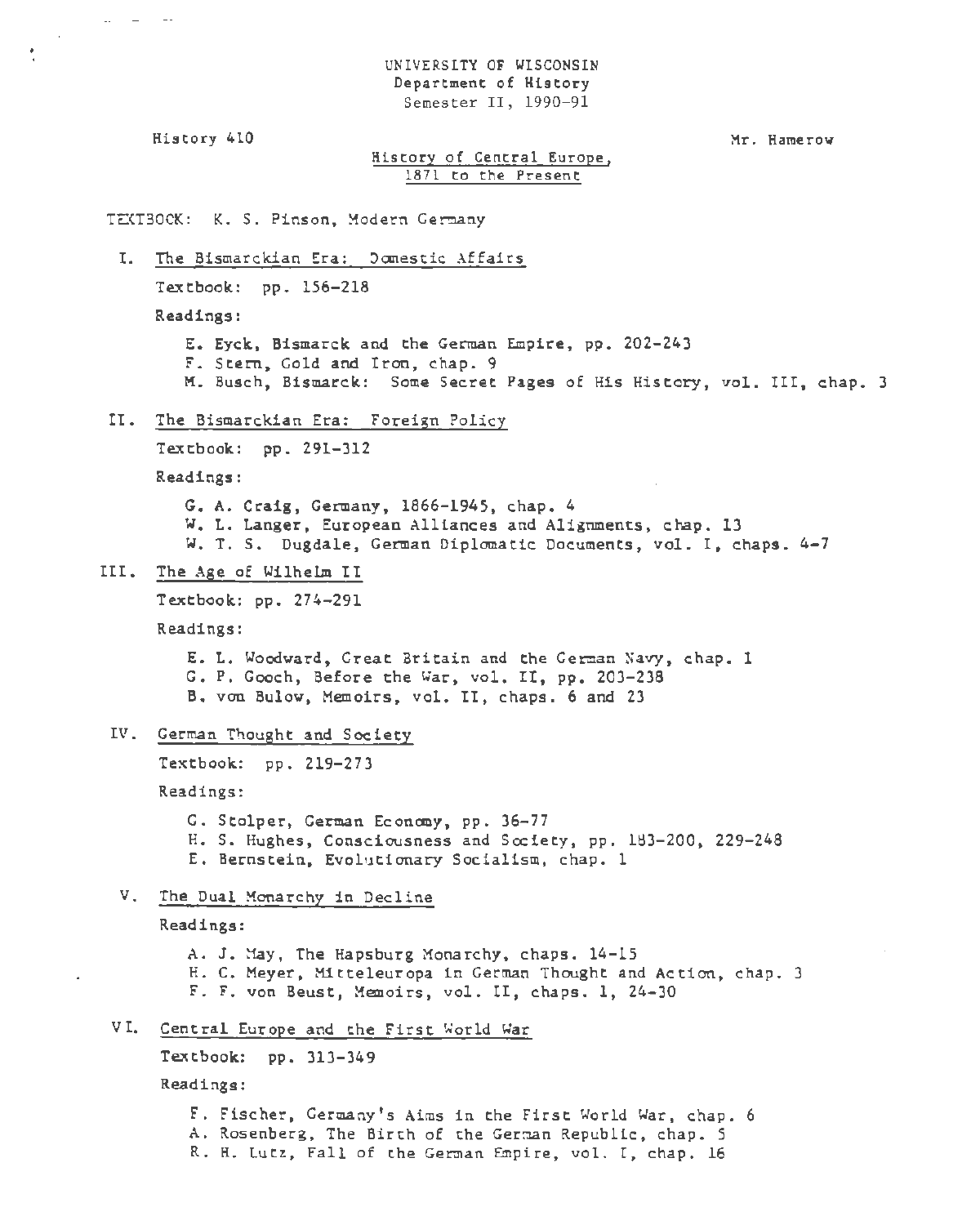UNIVERSITY OF WISCONSIN Department of History Semester II, 1990-91

History 410

, .

 $\sim 10^{-10}$  km s  $^{-1}$ 

Mr. Hamerow

History of Central Europe, 1871 to the Present

## TEXT30CK: K. S. Pinson, Modern Germany

I. The Bismarckian Era: Domestic Affairs

Textbook: pp. 156-218

Readings:

E. Eyck, Bismarck and the German Empire, pp. 202-243

- F. Stern, Gold and Iron, chap. 9
- M. Busch, Bismarck: Some Secret Pages of His History, vol. III, chap. 3
- II. The Bismarckian Era: Foreign Policy

Textbook: pp. 291-312

Readings:

G. A. Craig, Germany, 1866-1945, chap. 4 W. L. Langer, European Alliances and Alignments, chap. 13 W. T. S. Dugdale, German Diplomatic Documents, vol. I, chaps. 4-7

III. The Age of Wilhelm II

Textbook: pp. 274-291

Readings:

E. L. Woodward, Great Britain and the German Navy, chap. 1 G. P. Gooch, Before the War, vol. II, pp. 203-238 B. von Bulow, Memoirs, vol. II, chaps. 6 and 23

IV. German Thought and Society

Textbook: pp. 219-273

Readings:

G. Stolper, German Economy, pp. 36-77 H. S. Hughes, Consciousness and Society, pp. 183-200, 229-248 E. Bernstein, Evolutionary Socialism, chap. 1

*V.* The Dual Monarchy in Decline

Readings:

A. J. Hay, The Hapsburg Monarchy, chaps. 14-15 H. C. Meyer, Mitteleuropa in German Thought and Action, chap. 3 F. F. von Beust, Memoirs, vol. II, chaps. 1, 24-30

## VI. Central Europe and the First World War

Textbook: pp. 313-349

Readings:

F. Fischer, Germany's Aims in the First World War, chap. 6 A. Rosenberg, The Birth of the Gernan Republic, chap. *5*  R. H. Lutz, Fall of the German Empire, vol. I, chap. 16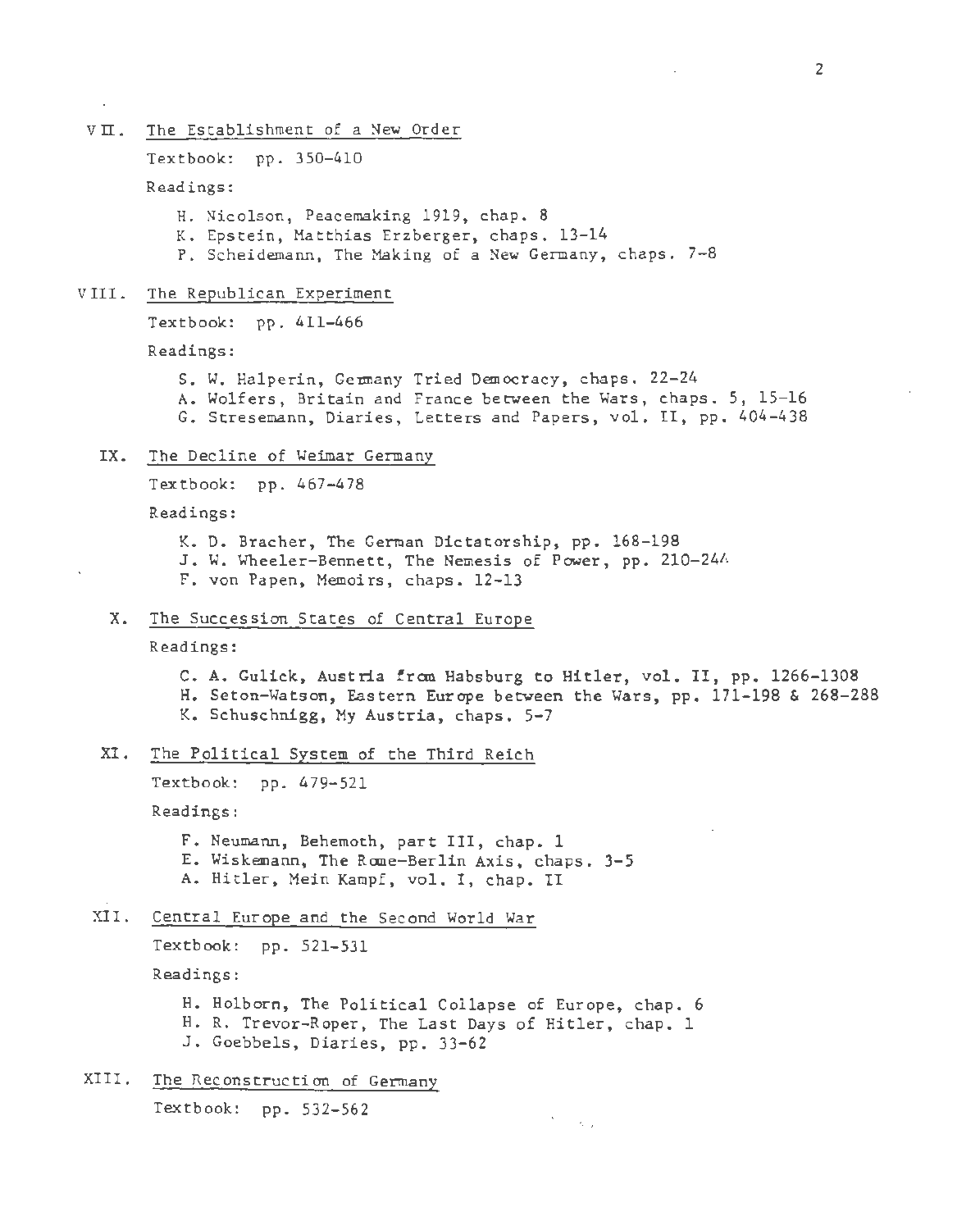$V\Pi$ . The Establishment of a New Order Textbook: pp. 350-410 Readings: H. Nicolson, Peacemaking 1919, chap. 8 K. Epstein, Matthias Erzberger, chaps. 13-14 P. Scheidemann, The Making of a New Germany, chaps. 7-8 VIII. The Republican Experiment Textbook: pp. 411-466 Readings: S. W. Halperin, Germany Tried Democracy, chaps. 22-24 A. Wolfers, Britain and France between the Wars, chaps. 5, 15-16 G. Stresemann, Diaries, Letters and Papers, val. II, pp. 404-438 IX. The Decline of Weimar Germany Textbook: pp. 467-478 Readings: K. D. Bracher, The German Dictatorship, pp. 168-198 J. W. Wheeler-Bennett, The Nemesis of Power, pp. 210-244 F. von Papen, Memoirs, chaps. 12-13 X. The Succession States of Central Europe Readings: C. A. Gulick, Austria **from** Habsburg to Hitler, val. II, pp. 1266-1308 H. Seton-Watson, Eastern Europe between the Wars, pp. 171-198 & 268-288 K. Schuschnigg, My Austria, chaps. 5-7 XI. The Political System of the Third Reich Textbook: pp. 479-521 Readings: F. Neumann, Behemoth, part III, chap. 1 E. Wiskemann, The Rome-Berlin Axis, chaps. 3-5 A. Hitler, Mein Kampf, vol. I, chap. II XII. Central Europe and the Second World War Textbook: pp. 521-531 Readings: H. Holborn, The Political Collapse of Europe, chap. 6 H. R. Trevor-Roper, The Last Days of Hitler, chap. 1 J. Goebbels, Diaries, pp. 33-62 XIII. The Reconstruction of Germany Textbook: pp. 532-562  $\sim$   $\sim$ 

2